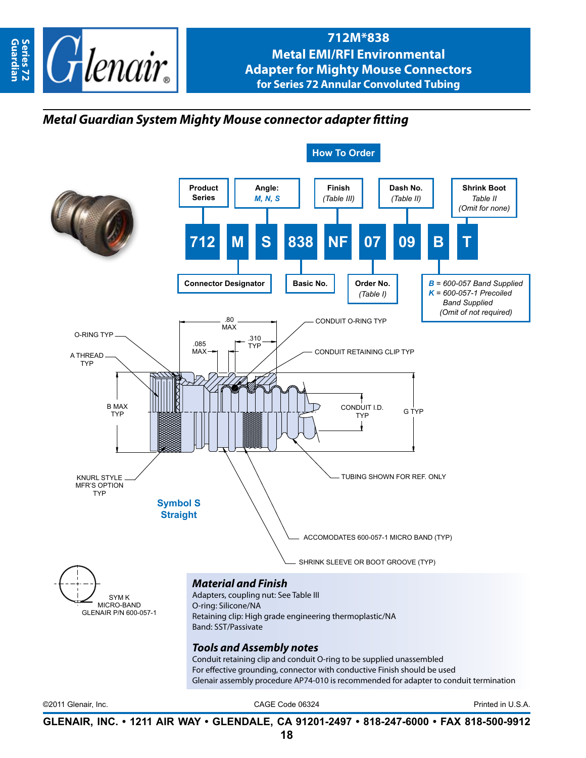

## **712M\*838 Metal EMI/RFI Environmental Adapter for Mighty Mouse Connectors for Series 72 Annular Convoluted Tubing**

## *Metal Guardian System Mighty Mouse connector adapter fitting*



**GLENAIR, INC. • 1211 AIR WAY • GLENDALE, CA 91201-2497 • 818-247-6000 • FAX 818-500-9912**